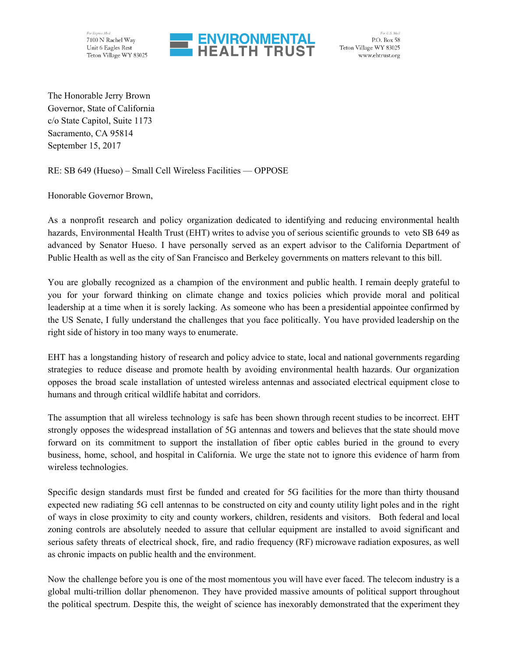For Express Mail 7100 N Rachel Way Unit 6 Eagles Rest Teton Village WY 83025



For U.S. Mail P.O. Box 58 Teton Village WY 83025 www.ehtrust.org

The Honorable Jerry Brown Governor, State of California c/o State Capitol, Suite 1173 Sacramento, CA 95814 September 15, 2017

RE: SB 649 (Hueso) – Small Cell Wireless Facilities — OPPOSE

Honorable Governor Brown,

As a nonprofit research and policy organization dedicated to identifying and reducing environmental health hazards, Environmental Health Trust (EHT) writes to advise you of serious scientific grounds to veto SB 649 as advanced by Senator Hueso. I have personally served as an expert advisor to the California Department of Public Health as well as the city of San Francisco and Berkeley governments on matters relevant to this bill.

You are globally recognized as a champion of the environment and public health. I remain deeply grateful to you for your forward thinking on climate change and toxics policies which provide moral and political leadership at a time when it is sorely lacking. As someone who has been a presidential appointee confirmed by the US Senate, I fully understand the challenges that you face politically. You have provided leadership on the right side of history in too many ways to enumerate.

EHT has a longstanding history of research and policy advice to state, local and national governments regarding strategies to reduce disease and promote health by avoiding environmental health hazards. Our organization opposes the broad scale installation of untested wireless antennas and associated electrical equipment close to humans and through critical wildlife habitat and corridors.

The assumption that all wireless technology is safe has been shown through recent studies to be incorrect. EHT strongly opposes the widespread installation of 5G antennas and towers and believes that the state should move forward on its commitment to support the installation of fiber optic cables buried in the ground to every business, home, school, and hospital in California. We urge the state not to ignore this evidence of harm from wireless technologies.

Specific design standards must first be funded and created for 5G facilities for the more than thirty thousand expected new radiating 5G cell antennas to be constructed on city and county utility light poles and in the right of ways in close proximity to city and county workers, children, residents and visitors. Both federal and local zoning controls are absolutely needed to assure that cellular equipment are installed to avoid significant and serious safety threats of electrical shock, fire, and radio frequency (RF) microwave radiation exposures, as well as chronic impacts on public health and the environment.

Now the challenge before you is one of the most momentous you will have ever faced. The telecom industry is a global multi-trillion dollar phenomenon. They have provided massive amounts of political support throughout the political spectrum. Despite this, the weight of science has inexorably demonstrated that the experiment they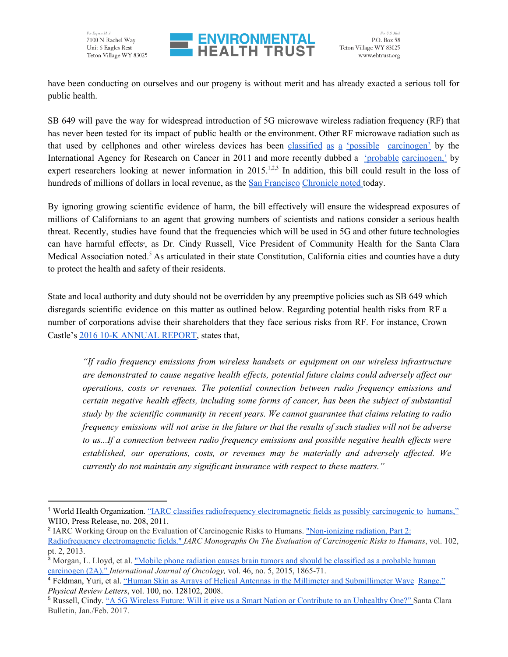

have been conducting on ourselves and our progeny is without merit and has already exacted a serious toll for public health.

SB 649 will pave the way for widespread introduction of 5G microwave wireless radiation frequency (RF) that has never been tested for its impact of public health or the environment. Other RF microwave radiation such as that used by cellphones and other wireless devices has bee[n](http://www.iarc.fr/en/media-centre/pr/2011/pdfs/pr208_E.pdf) [classified](http://www.iarc.fr/en/media-centre/pr/2011/pdfs/pr208_E.pdf) as a 'possible [carcinogen'](http://www.iarc.fr/en/media-centre/pr/2011/pdfs/pr208_E.pdf) by the International Agency for Research on Cancer in 2011 and more recently dubbed [a](https://www.spandidos-publications.com/ijo/46/5/1865) ['](https://www.spandidos-publications.com/ijo/46/5/1865)probable [carcinogen,'](https://www.spandidos-publications.com/ijo/46/5/1865) by expert researchers looking at newer information in  $2015$ <sup>1,2,3</sup> In addition, this bill could result in the loss of hundr[e](http://www.sfchronicle.com/opinion/editorials/article/California-lawmakers-must-reject-telecoms-cell-11251445.php)ds of millions of dollars in local revenue, as the San [Francisco](http://www.sfchronicle.com/opinion/editorials/article/California-lawmakers-must-reject-telecoms-cell-11251445.php) [Chronicle](http://www.sfchronicle.com/opinion/editorials/article/California-lawmakers-must-reject-telecoms-cell-11251445.php) noted today.

By ignoring growing scientific evidence of harm, the bill effectively will ensure the widespread exposures of millions of Californians to an agent that growing numbers of scientists and nations consider a serious health threat. Recently, studies have found that the frequencies which will be used in 5G and other future technologies can have harmful effects<sup>4</sup>, as Dr. Cindy Russell, Vice President of Community Health for the Santa Clara Medical Association noted.<sup>5</sup> As articulated in their state Constitution, California cities and counties have a duty to protect the health and safety of their residents.

State and local authority and duty should not be overridden by any preemptive policies such as SB 649 which disregards scientific evidence on this matter as outlined below. Regarding potential health risks from RF a number of corporations advise their shareholders that they face serious risks from RF. For instance, Crown Castle's [2](http://services.corporate-ir.net/SEC/Document.Service?id=P3VybD1hSFIwY0RvdkwyRndhUzUwWlc1cmQybDZZWEprTG1OdmJTOWtiM2R1Ykc5aFpDNXdhSEEvWVdOMGFXOXVQVkJFUmlacGNHRm5aVDB4TVRReE5EWTJOeVp6ZFdKemFXUTlOVGM9JnR5cGU9MiZmbj1Dcm93bkNhc3RsZV8xMEtfMjAxNzAyMjIucGRm)016 10-K [ANNUAL](http://services.corporate-ir.net/SEC/Document.Service?id=P3VybD1hSFIwY0RvdkwyRndhUzUwWlc1cmQybDZZWEprTG1OdmJTOWtiM2R1Ykc5aFpDNXdhSEEvWVdOMGFXOXVQVkJFUmlacGNHRm5aVDB4TVRReE5EWTJOeVp6ZFdKemFXUTlOVGM9JnR5cGU9MiZmbj1Dcm93bkNhc3RsZV8xMEtfMjAxNzAyMjIucGRm) REPORT, states that,

*"If radio frequency emissions from wireless handsets or equipment on our wireless infrastructure are demonstrated to cause negative health ef ects, potential future claims could adversely af ect our operations, costs or revenues. The potential connection between radio frequency emissions and certain negative health ef ects, including some forms of cancer, has been the subject of substantial study by the scientific community in recent years. We cannot guarantee that claims relating to radio* frequency emissions will not arise in the future or that the results of such studies will not be adverse *to us...If a connection between radio frequency emissions and possible negative health ef ects were established, our operations, costs, or revenues may be materially and adversely af ected. We currently do not maintain any significant insurance with respect to these matters."*

<sup>&</sup>lt;sup>1</sup> World Health Organization. "IARC classifies radiofrequency [electromagnetic](http://www.iarc.fr/en/media-centre/pr/2011/pdfs/pr208_E.pdf) fields as p[o](http://www.iarc.fr/en/media-centre/pr/2011/pdfs/pr208_E.pdf)ssibly carcinogenic to [humans,"](http://www.iarc.fr/en/media-centre/pr/2011/pdfs/pr208_E.pdf) WHO, Press Release, no. 208, 2011.

<sup>&</sup>lt;sup>2</sup> IARC Working Group on the Evaluation of Carcinogenic Risks to Humans. ["Non-ionizing](https://monographs.iarc.fr/ENG/Monographs/vol102/mono102.pdf) radiation, Part 2: [Radiofrequency](https://monographs.iarc.fr/ENG/Monographs/vol102/mono102.pdf) electromagnetic fields." *IARC Monographs On The Evaluation of Carcinogenic Risks to Humans*, vol. 102, pt. 2, 2013.

<sup>&</sup>lt;sup>3</sup> Morgan, L. Lloyd, et al. ["](https://www.spandidos-publications.com/ijo/46/5/1865)Mobile phone radiation causes brain tumors and should be [classified](https://www.spandidos-publications.com/ijo/46/5/1865) as a probable huma[n](https://www.spandidos-publications.com/ijo/46/5/1865) [carcinogen](https://www.spandidos-publications.com/ijo/46/5/1865) (2A)." *International Journal of Oncology,* vol. 46, no. 5, 2015, 1865-71.

<sup>4</sup> Feldman, Yuri, et al[.](https://journals.aps.org/prl/abstract/10.1103/PhysRevLett.100.128102) "Human Skin as Arrays of Helical Antennas in the Millimeter and [Submillimeter](https://journals.aps.org/prl/abstract/10.1103/PhysRevLett.100.128102) Wave [Range."](https://journals.aps.org/prl/abstract/10.1103/PhysRevLett.100.128102) *Physical Review Letters*, vol. 100, no. 128102, 2008.

<sup>&</sup>lt;sup>5</sup> Russell, Cindy[.](https://ehtrust.org/key-issues/cell-phoneswireless/5g-networks-iot-scientific-overview-human-health-risks/) "A 5G Wireless Future: Will it give us a Smart Nation or [Contribute](https://ehtrust.org/key-issues/cell-phoneswireless/5g-networks-iot-scientific-overview-human-health-risks/) to an Unhealthy One?" Santa Clara Bulletin, Jan./Feb. 2017.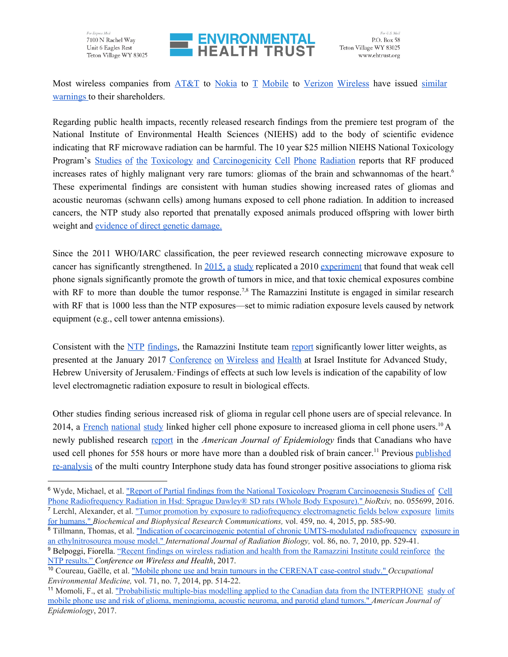



Most wireless companies from [AT&T](https://www.att.com/Investor/ATT_Annual/2016/downloads/att_ar2016_completeannualreport.pdf) to [Nokia](http://cdn.softbank.jp/en/corp/set/data/irinfo/financials/annual_reports/pdf/2016/softbank_annual_report_2016_001.pdf) t[o](http://www.snl.com/Cache/c38030540.html) T [Mobile](http://www.snl.com/Cache/c38030540.html) to [V](http://verizon.api.edgar-online.com/EFX_dll/EdgarPro.dll?FetchFilingConvPDF1%3FSessionID=Do59qmn_u0wVg_T&ID=11871260)erizon [Wireless](http://verizon.api.edgar-online.com/EFX_dll/EdgarPro.dll?FetchFilingConvPDF1%3FSessionID=Do59qmn_u0wVg_T&ID=11871260) have issue[d](https://ehtrust.org/key-issues/corporate-company-investor-warnings-annual-reports-10k-filings-cell-phone-radiation-risks/) [similar](https://ehtrust.org/key-issues/corporate-company-investor-warnings-annual-reports-10k-filings-cell-phone-radiation-risks/) [warnings](https://ehtrust.org/key-issues/corporate-company-investor-warnings-annual-reports-10k-filings-cell-phone-radiation-risks/) to their shareholders.

Regarding public health impacts, recently released research findings from the premiere test program of the National Institute of Environmental Health Sciences (NIEHS) add to the body of scientific evidence indicating that RF microwave radiation can be harmful. The 10 year \$25 million NIEHS National Toxicology Program's [S](http://biorxiv.org/content/early/2016/05/26/055699)tudies of the Toxicology and [Carcinogenicity](http://biorxiv.org/content/early/2016/05/26/055699) Cell Phone Radiation reports that RF produced increases rates of highly malignant very rare tumors: gliomas of the brain and schwannomas of the heart. 6 These experimental findings are consistent with human studies showing increased rates of gliomas and acoustic neuromas (schwann cells) among humans exposed to cell phone radiation. In addition to increased cancers, the NTP study also reported that prenatally exposed animals produced offspring with lower birth weight and [evidence](http://microwavenews.com/news-center/ntp-dna-delay) of direct genetic damage.

Since the 2011 WHO/IARC classification, the peer reviewed research connecting microwave exposure to cancer has significantly strengthened. In [2015,](http://www.sciencedirect.com/science/article/pii/S0006291X15003988) a study replicated a 201[0](http://informahealthcare.com/doi/abs/10.3109/09553001003734501) [experiment](http://informahealthcare.com/doi/abs/10.3109/09553001003734501) that found that weak cell phone signals significantly promote the growth of tumors in mice, and that toxic chemical exposures combine with RF to more than double the tumor response.<sup>7,8</sup> The Ramazzini Institute is engaged in similar research with RF that is 1000 less than the NTP exposures—set to mimic radiation exposure levels caused by network equipment (e.g., cell tower antenna emissions).

Consist[e](http://microwavenews.com/news-center/ntp-rf-animal-studies)nt with the NTP [findings,](http://microwavenews.com/news-center/ntp-rf-animal-studies) the Ra[m](https://www.youtube.com/watch?v=ESRIubk9iAM)azzini Institute team [report](https://www.youtube.com/watch?v=ESRIubk9iAM) significantly lower litter weights, as presented at the January 2017 [Conference](https://ehtrust.org/science/key-scientific-lectures/2017-expert-forum-wireless-radiation-human-health/) on Wireless and Health at Israel Institute for Advanced Study, Hebrew University of Jerusalem.<sup>9</sup> Findings of effects at such low levels is indication of the capability of low level electromagnetic radiation exposure to result in biological effects.

Other studies finding serious increased risk of glioma in regular cell phone users are of special relevance. In 2014, [a](http://oem.bmj.com/content/71/7/514) French [national](http://oem.bmj.com/content/71/7/514) study linked higher cell phone exposure to increased glioma in cell phone users.<sup>10</sup> A newly published research [report](https://www.ncbi.nlm.nih.gov/pubmed/28535174) in the *American Journal of Epidemiology* finds that Canadians who have used cell phones for 558 hours or more have more than a doubled risk of brain cancer.<sup>11</sup> Previous [published](http://www.sciencedirect.com/science/article/pii/S1047279716303702) [re-analysis](http://www.sciencedirect.com/science/article/pii/S1047279716303702) of the multi country Interphone study data has found stronger positive associations to glioma risk

<sup>&</sup>lt;sup>6</sup> Wyde, Michael, et al[.](http://biorxiv.org/content/early/2016/05/26/055699) "Report of Partial findings from the National Toxicology Program [Carcinogenesis](http://biorxiv.org/content/early/2016/05/26/055699) Studies of [Cell](http://biorxiv.org/content/early/2016/05/26/055699) Phone [Radiofrequency](http://biorxiv.org/content/early/2016/05/26/055699) Radiation in Hsd: Sprague Dawley® SD rats (Whole Body Exposure)." *bioRxiv,* no. 055699, 2016. <sup>7</sup> Lerchl, Alexander, et al[.](http://www.sciencedirect.com/science/article/pii/S0006291X15003988) "Tumor promotion by exposure to radiofrequency [electromagnetic](http://www.sciencedirect.com/science/article/pii/S0006291X15003988) fi[e](http://www.sciencedirect.com/science/article/pii/S0006291X15003988)lds below exposure [limits](http://www.sciencedirect.com/science/article/pii/S0006291X15003988) for [humans."](http://www.sciencedirect.com/science/article/pii/S0006291X15003988) *Biochemical and Biophysical Research Communications,* vol. 459, no. 4, 2015, pp. 585-90.

<sup>&</sup>lt;sup>8</sup> Tillmann, Thomas, et al[.](http://informahealthcare.com/doi/abs/10.3109/09553001003734501) "Indication of cocarcinogenic potential of chronic [UMTS-modulated](http://informahealthcare.com/doi/abs/10.3109/09553001003734501) radiofrequency [exposure](http://informahealthcare.com/doi/abs/10.3109/09553001003734501) in an [ethylnitrosourea](http://informahealthcare.com/doi/abs/10.3109/09553001003734501) mouse model." *International Journal of Radiation Biology,* vol. 86, no. 7, 2010, pp. 529-41.

<sup>9</sup> Belpoggi, Fiorella. ["](https://ehtrust.org/wp-content/uploads/Fiorella-Belpoggi-01.23.pdf)Recent findings on wireless radiation and health from the [Ramazzini](https://ehtrust.org/wp-content/uploads/Fiorella-Belpoggi-01.23.pdf) Institute could reinforc[e](https://ehtrust.org/wp-content/uploads/Fiorella-Belpoggi-01.23.pdf) [the](https://ehtrust.org/wp-content/uploads/Fiorella-Belpoggi-01.23.pdf) NTP [results."](https://ehtrust.org/wp-content/uploads/Fiorella-Belpoggi-01.23.pdf) *Conference on Wireless and Health*, 2017.

<sup>10</sup> Coureau, Gaëlle, et al[.](http://oem.bmj.com/content/71/7/514) "Mobile phone use and brain tumours in the CERENAT [case-control](http://oem.bmj.com/content/71/7/514) study." *Occupational Environmental Medicine,* vol. 71, no. 7, 2014, pp. 514-22.

<sup>11</sup> Momoli, F., et al. ["](https://academic.oup.com/aje/article-abstract/doi/10.1093/aje/kwx157/3848944/Probabilistic-multiplebias-modelling-applied-to)Probabilistic multiple-bias modelling applied to the Canadian data from the [INTERPHONE](https://academic.oup.com/aje/article-abstract/doi/10.1093/aje/kwx157/3848944/Probabilistic-multiplebias-modelling-applied-to) [study](https://academic.oup.com/aje/article-abstract/doi/10.1093/aje/kwx157/3848944/Probabilistic-multiplebias-modelling-applied-to) of mobile phone use and risk of glioma, [meningioma,](https://academic.oup.com/aje/article-abstract/doi/10.1093/aje/kwx157/3848944/Probabilistic-multiplebias-modelling-applied-to) acoustic neuroma, and parotid gland tumors." *American Journal of Epidemiology*, 2017.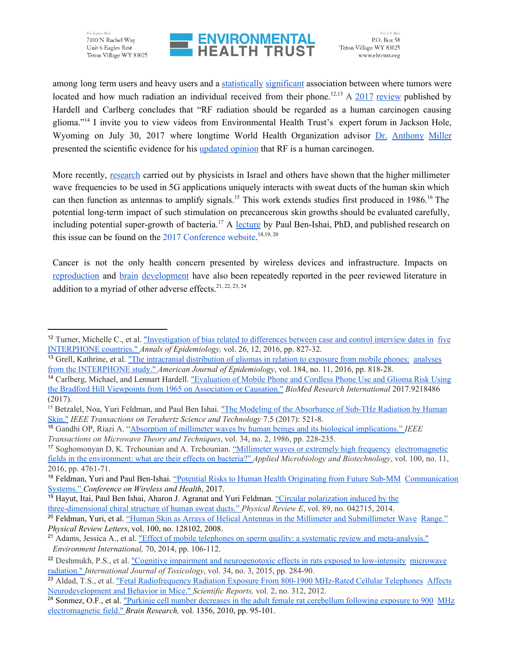For Express Mail 7100 N Rachel Way Unit 6 Eagles Rest Teton Village WY 83025



For U.S. Mail P.O. Box 58 Teton Village WY 83025 www.ehtrust.org

among long term users and heavy users and [a](http://aje.oxfordjournals.org/content/early/2016/11/02/aje.kww082.short?rss=1) [statistically](http://aje.oxfordjournals.org/content/early/2016/11/02/aje.kww082.short?rss=1) significant association between where tumors were located and how much radiation an individual received from their phone.<sup>12,13</sup> A  $\frac{2017}{x}$  [review](https://www.hindawi.com/journals/bmri/2017/9218486/) published by Hardell and Carlberg concludes that "RF radiation should be regarded as a human carcinogen causing glioma."<sup>14</sup> I invite you to view videos from Environmental Health Trust's expert forum in Jackson Hole, Wyoming on July 30, 2017 where longtime World Health Organization advisor Dr. [Anthony](https://www.youtube.com/watch?v=bgGJeOVEdQs) Miller presented the scientific evidence for his [updated](https://ehtrust.org/cancer-expert-declares-cell-phone-wireless-radiation-carcinogenic-humans/) opinion that RF is a human carcinogen.

More recently, [research](http://ieeexplore.ieee.org/abstract/document/8016593/) carried out by physicists in Israel and others have shown that the higher millimeter wave frequencies to be used in 5G applications uniquely interacts with sweat ducts of the human skin which can then function as antennas to amplify signals.<sup>15</sup> This work extends studies first produced in 1986.<sup>16</sup> The potential long-term impact of such stimulation on precancerous skin growths should be evaluated carefully, including potential super-growth of bacteria.<sup>17</sup> [A](https://www.youtube.com/watch?v=VuVtGldYXK4) [lecture](https://www.youtube.com/watch?v=VuVtGldYXK4) by Paul Ben-Ishai, PhD, and published research on this issue can be found on the  $2017$  [Conference](https://ehtrust.org/science/key-scientific-lectures/2017-expert-forum-wireless-radiation-human-health/) website.<sup>18,19,20</sup>

Cancer is not the only health concern presented by wireless devices and infrastructure. Impacts on [reproduction](http://www.ncbi.nlm.nih.gov/pubmed/24927498) and [b](https://ecfsapi.fcc.gov/file/7520941390.pdf)rain [development](https://ecfsapi.fcc.gov/file/7520941390.pdf) have also been repeatedly reported in the peer reviewed literature in addition to a myriad of other adverse effects.<sup>21, 22, 23, 24</sup>

<sup>&</sup>lt;sup>12</sup> Turner, Michelle C[.](http://www.sciencedirect.com/science/article/pii/S1047279716303702), et al. ["Investigation](http://www.sciencedirect.com/science/article/pii/S1047279716303702) of bias related to differe[n](http://www.sciencedirect.com/science/article/pii/S1047279716303702)ces between case and control interview dates in [five](http://www.sciencedirect.com/science/article/pii/S1047279716303702) [INTERPHONE](http://www.sciencedirect.com/science/article/pii/S1047279716303702) countries." *Annals of Epidemiology,* vol. 26, 12, 2016, pp. 827-32.

<sup>&</sup>lt;sup>13</sup> Grell, Kathrine, et al. "The intracranial [distribution](https://academic.oup.com/aje/article-abstract/184/11/818/2410935) of gliomas in relation to exposure from mobile phones: [analyses](https://academic.oup.com/aje/article-abstract/184/11/818/2410935) from the [INTERPHONE](https://academic.oup.com/aje/article-abstract/184/11/818/2410935) study." *American Journal of Epidemiology*, vol. 184, no. 11, 2016, pp. 818-28.

<sup>14</sup> Carlberg, Michael, and Lennart Hardell. ["Evaluation](https://www.hindawi.com/journals/bmri/2017/9218486/) of Mobile Phone and Cordless Phone Use and Glioma Risk Using the Bradford Hill Viewpoints from 1965 on [Association](https://www.hindawi.com/journals/bmri/2017/9218486/) or Causation." *BioMed Research International* 2017.9218486 (2017).

<sup>&</sup>lt;sup>15</sup> Betzalel, Noa, Yuri Feldman, and Paul Ben Ishai. "The Modeling of the [Absorbance](http://ieeexplore.ieee.org/abstract/document/8016593/) of Sub-THz Radiation by Human [Skin."](http://ieeexplore.ieee.org/abstract/document/8016593/) *IEEE Transactions on Terahertz Science and Technology* 7.5 (2017): 521-8.

<sup>16</sup> Gandhi OP, Riazi A. "Absorption of millimeter waves by human beings and its biological [implications."](http://ieeexplore.ieee.org/abstract/document/1133316/) *IEEE Transactions on Microwave Theory and Techniques*, vol. 34, no. 2, 1986, pp. 228-235.

<sup>&</sup>lt;sup>17</sup> Soghomonyan D, K. Trchounian and A. Trchounian. ["Millimeter](https://link.springer.com/article/10.1007/s00253-016-7538-0) waves or extremel[y](https://link.springer.com/article/10.1007/s00253-016-7538-0) high frequency [electromagnetic](https://link.springer.com/article/10.1007/s00253-016-7538-0) fields in the [environment:](https://link.springer.com/article/10.1007/s00253-016-7538-0) what are their effects on bacteria?" *Applied Microbiology and Biotechnology*, vol. 100, no. 11, 2016, pp. 4761-71.

<sup>18</sup> Feldman, Yuri and Paul Ben-Ishai[.](https://ehtrust.org/wp-content/uploads/Yuri-Feldman-and-Paul-Ben-Ishai-Abstract.pdf) "Potential Risks to Human Health [Originating](https://ehtrust.org/wp-content/uploads/Yuri-Feldman-and-Paul-Ben-Ishai-Abstract.pdf) from Future Sub-M[M](https://ehtrust.org/wp-content/uploads/Yuri-Feldman-and-Paul-Ben-Ishai-Abstract.pdf) [Communication](https://ehtrust.org/wp-content/uploads/Yuri-Feldman-and-Paul-Ben-Ishai-Abstract.pdf) [Systems."](https://ehtrust.org/wp-content/uploads/Yuri-Feldman-and-Paul-Ben-Ishai-Abstract.pdf) *Conference on Wireless and Health*, 2017.

<sup>&</sup>lt;sup>19</sup> Hayut, Itai, Paul Ben Ishai, Aharon J[.](https://journals.aps.org/pre/abstract/10.1103/PhysRevE.89.042715) Agranat and Yuri Feldman. "Circular [polarization](https://journals.aps.org/pre/abstract/10.1103/PhysRevE.89.042715) induc[e](https://journals.aps.org/pre/abstract/10.1103/PhysRevE.89.042715)d by the [three-dimensional](https://journals.aps.org/pre/abstract/10.1103/PhysRevE.89.042715) chiral structure of human sweat ducts." *Physical Review E*, vol. 89, no. 042715, 2014.

<sup>&</sup>lt;sup>20</sup> Feldman, Yuri, et al[.](https://journals.aps.org/prl/abstract/10.1103/PhysRevLett.100.128102) "Human Skin as Arrays of Helical Antennas in the Millimeter and [Submillimeter](https://journals.aps.org/prl/abstract/10.1103/PhysRevLett.100.128102) Wav[e](https://journals.aps.org/prl/abstract/10.1103/PhysRevLett.100.128102) [Range."](https://journals.aps.org/prl/abstract/10.1103/PhysRevLett.100.128102) *Physical Review Letters*, vol. 100, no. 128102, 2008.

<sup>&</sup>lt;sup>21</sup> Adams, Jessica A[.](http://www.sciencedirect.com/science/article/pii/S0160412014001354), et al. "Effect of mobile telephones on sperm quality: a systematic review and [meta-analysis."](http://www.sciencedirect.com/science/article/pii/S0160412014001354) *Environment International,* 70, 2014, pp. 106-112.

<sup>&</sup>lt;sup>22</sup> Deshmukh, P[.](http://journals.sagepub.com/doi/abs/10.1177/1091581815574348)S., et al. "Cognitive impairment and [neurogenotoxic](http://journals.sagepub.com/doi/abs/10.1177/1091581815574348) effects in rats exposed to low-intensit[y](http://journals.sagepub.com/doi/abs/10.1177/1091581815574348) [microwave](http://journals.sagepub.com/doi/abs/10.1177/1091581815574348) [radiation."](http://journals.sagepub.com/doi/abs/10.1177/1091581815574348) *International Journal of Toxicology*, vol. 34, no. 3, 2015, pp. 284-90.

<sup>&</sup>lt;sup>23</sup> Aldad, T[.](https://www.nature.com/articles/srep00312)S., et al. "Fetal [Radiofrequency](https://www.nature.com/articles/srep00312) Radiation Expo[s](https://www.nature.com/articles/srep00312)ure From 800-1900 MHz-Rated Cellular Telephones [Affects](https://www.nature.com/articles/srep00312) [Neurodevelopment](https://www.nature.com/articles/srep00312) and Behavior in Mice." *Scientific Reports,* vol. 2, no. 312, 2012.

<sup>&</sup>lt;sup>24</sup> Sonmez, O[.](http://www.sciencedirect.com/science/article/pii/S0006899310017051)F., et al. "Purkinje cell number decreases in the adult female rat [cerebellum](http://www.sciencedirect.com/science/article/pii/S0006899310017051) following exposure to 900 [MHz](http://www.sciencedirect.com/science/article/pii/S0006899310017051) [electromagnetic](http://www.sciencedirect.com/science/article/pii/S0006899310017051) field." *Brain Research,* vol. 1356, 2010, pp. 95-101.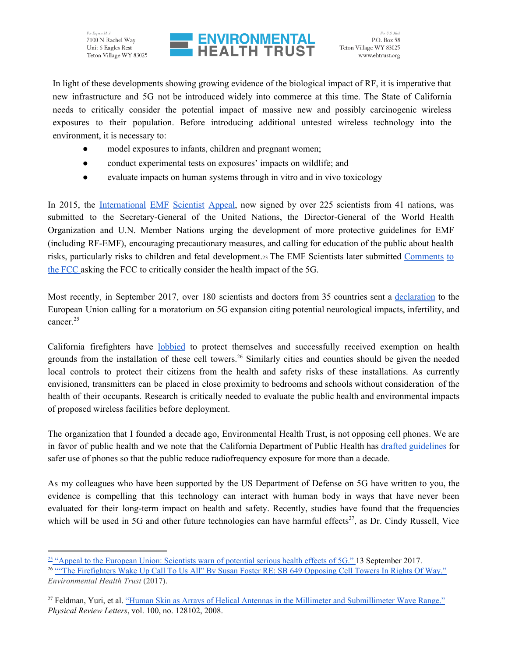

In light of these developments showing growing evidence of the biological impact of RF, it is imperative that new infrastructure and 5G not be introduced widely into commerce at this time. The State of California needs to critically consider the potential impact of massive new and possibly carcinogenic wireless exposures to their population. Before introducing additional untested wireless technology into the environment, it is necessary to:

- model exposures to infants, children and pregnant women;
- conduct experimental tests on exposures' impacts on wildlife; and
- evaluate impacts on human systems through in vitro and in vivo toxicology

In 2015, the [International](https://www.emfscientist.org/index.php/emf-scientist-appeal) EMF Scientist Appeal, now signed by over 225 scientists from 41 nations, was submitted to the Secretary-General of the United Nations, the Director-General of the World Health Organization and U.N. Member Nations urging the development of more protective guidelines for EMF (including RF-EMF), encouraging precautionary measures, and calling for education of the public about health risks, particularly risks to children and fetal development.<sup>23</sup> The EMF Scientists later submitted [Comments](https://drive.google.com/file/d/0B14R6QNkmaXuZnUzaWRNSjhuMkU/view) to the [FCC](https://drive.google.com/file/d/0B14R6QNkmaXuZnUzaWRNSjhuMkU/view) asking the FCC to critically consider the health impact of the 5G.

Most recently, in September 2017, over 180 scientists and doctors from 35 countries sent a [declaration](https://ehtrust.org/scientists-and-doctors-demand-moratorium-on-5g-warning-of-health-effects/) to the European Union calling for a moratorium on 5G expansion citing potential neurological impacts, infertility, and cancer. 25

California firefighters have [lobbied](https://ehtrust.org/firefighters-wake-call-us-susan-foster-re-sb-649-opposing-cell-towers-rights-way/) to protect themselves and successfully received exemption on health grounds from the installation of these cell towers.<sup>26</sup> Similarly cities and counties should be given the needed local controls to protect their citizens from the health and safety risks of these installations. As currently envisioned, transmitters can be placed in close proximity to bedrooms and schools without consideration of the health of their occupants. Research is critically needed to evaluate the public health and environmental impacts of proposed wireless facilities before deployment.

The organization that I founded a decade ago, Environmental Health Trust, is not opposing cell phones. We are in favor of public health and we note that the California Department of Public Health has drafted [guidelines](https://ehtrust.org/cell-phone-safety-guidance-california-health-department-released-court-order/) for safer use of phones so that the public reduce radiofrequency exposure for more than a decade.

As my colleagues who have been supported by the US Department of Defense on 5G have written to you, the evidence is compelling that this technology can interact with human body in ways that have never been evaluated for their long-term impact on health and safety. Recently, studies have found that the frequencies which will be used in 5G and other future technologies can have harmful effects<sup>27</sup>, as Dr. Cindy Russell, Vice

 $25$  "Appeal to the European Union: [Scientists](https://ehtrust.org/scientists-and-doctors-demand-moratorium-on-5g-warning-of-health-effects/) warn of potential serious health effects of 5G." 13 September 2017. <sup>26</sup> "The [Firefighters](https://ehtrust.org/firefighters-wake-call-us-susan-foster-re-sb-649-opposing-cell-towers-rights-way/) Wake Up Call To Us All" By Susan Foster RE: SB 649 Opposing Cell Towers In Rights Of Way." *Environmental Health Trust* (2017).

<sup>&</sup>lt;sup>27</sup> Feldman, Yuri, et al. "Human Skin as Arrays of Helical Antennas in the Millimeter and [Submillimeter](https://journals.aps.org/prl/abstract/10.1103/PhysRevLett.100.128102) Wave Range." *Physical Review Letters*, vol. 100, no. 128102, 2008.